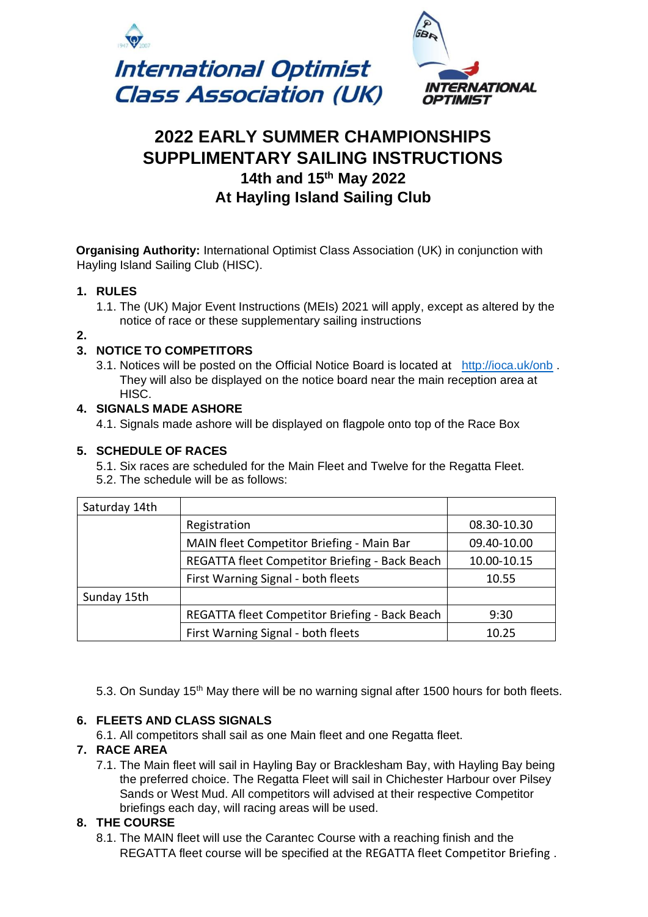

# **2022 EARLY SUMMER CHAMPIONSHIPS SUPPLIMENTARY SAILING INSTRUCTIONS 14th and 15th May 2022 At Hayling Island Sailing Club**

**Organising Authority:** International Optimist Class Association (UK) in conjunction with Hayling Island Sailing Club (HISC).

#### **1. RULES**

1.1. The (UK) Major Event Instructions (MEIs) 2021 will apply, except as altered by the notice of race or these supplementary sailing instructions

**2.**

## **3. NOTICE TO COMPETITORS**

3.1. Notices will be posted on the Official Notice Board is located at <http://ioca.uk/onb> . They will also be displayed on the notice board near the main reception area at HISC.

## **4. SIGNALS MADE ASHORE**

4.1. Signals made ashore will be displayed on flagpole onto top of the Race Box

## **5. SCHEDULE OF RACES**

5.1. Six races are scheduled for the Main Fleet and Twelve for the Regatta Fleet. 5.2. The schedule will be as follows:

| Saturday 14th |                                                |             |
|---------------|------------------------------------------------|-------------|
|               | Registration                                   | 08.30-10.30 |
|               | MAIN fleet Competitor Briefing - Main Bar      | 09.40-10.00 |
|               | REGATTA fleet Competitor Briefing - Back Beach | 10.00-10.15 |
|               | First Warning Signal - both fleets             | 10.55       |
| Sunday 15th   |                                                |             |
|               | REGATTA fleet Competitor Briefing - Back Beach | 9:30        |
|               | First Warning Signal - both fleets             | 10.25       |

5.3. On Sunday 15<sup>th</sup> May there will be no warning signal after 1500 hours for both fleets.

#### **6. FLEETS AND CLASS SIGNALS**

6.1. All competitors shall sail as one Main fleet and one Regatta fleet.

#### **7. RACE AREA**

7.1. The Main fleet will sail in Hayling Bay or Bracklesham Bay, with Hayling Bay being the preferred choice. The Regatta Fleet will sail in Chichester Harbour over Pilsey Sands or West Mud. All competitors will advised at their respective Competitor briefings each day, will racing areas will be used.

#### **8. THE COURSE**

8.1. The MAIN fleet will use the Carantec Course with a reaching finish and the REGATTA fleet course will be specified at the REGATTA fleet Competitor Briefing .